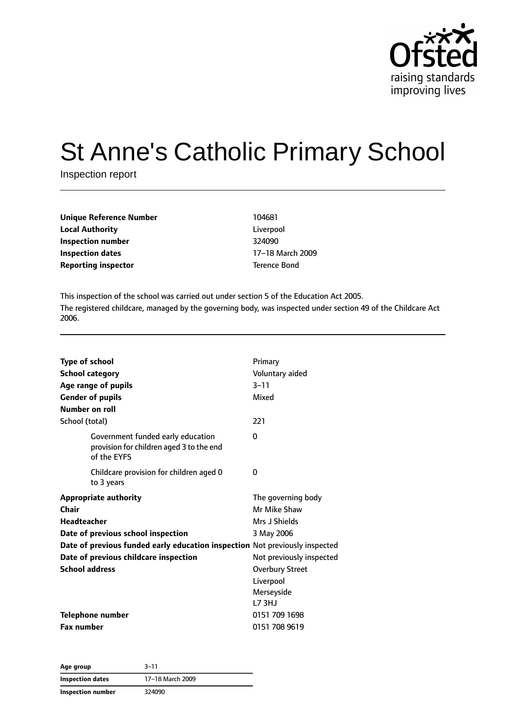

# St Anne's Catholic Primary School

Inspection report

| <b>Unique Reference Number</b> | 104681       |
|--------------------------------|--------------|
| <b>Local Authority</b>         | Liverpool    |
| Inspection number              | 324090       |
| Inspection dates               | 17–18 March  |
| <b>Reporting inspector</b>     | Terence Bond |

**Liverpool Inspection number** 324090 **Inspection dates** 17–18 March 2009

This inspection of the school was carried out under section 5 of the Education Act 2005. The registered childcare, managed by the governing body, was inspected under section 49 of the Childcare Act 2006.

| <b>Type of school</b>                                                                        | Primary                  |
|----------------------------------------------------------------------------------------------|--------------------------|
| <b>School category</b>                                                                       | Voluntary aided          |
| Age range of pupils                                                                          | $3 - 11$                 |
| <b>Gender of pupils</b>                                                                      | Mixed                    |
| Number on roll                                                                               |                          |
| School (total)                                                                               | 221                      |
| Government funded early education<br>provision for children aged 3 to the end<br>of the EYFS | $\Omega$                 |
| Childcare provision for children aged 0<br>to 3 years                                        | 0                        |
| <b>Appropriate authority</b>                                                                 | The governing body       |
| Chair                                                                                        | Mr Mike Shaw             |
| <b>Headteacher</b>                                                                           | Mrs J Shields            |
| Date of previous school inspection                                                           | 3 May 2006               |
| Date of previous funded early education inspection Not previously inspected                  |                          |
| Date of previous childcare inspection                                                        | Not previously inspected |
| <b>School address</b>                                                                        | <b>Overbury Street</b>   |
|                                                                                              | Liverpool                |
|                                                                                              | Merseyside               |
|                                                                                              | <b>L73HJ</b>             |
| <b>Telephone number</b>                                                                      | 0151 709 1698            |
| <b>Fax number</b>                                                                            | 0151 708 9619            |

| Age group               | $3 - 11$         |
|-------------------------|------------------|
| <b>Inspection dates</b> | 17-18 March 2009 |
| Inspection number       | 324090           |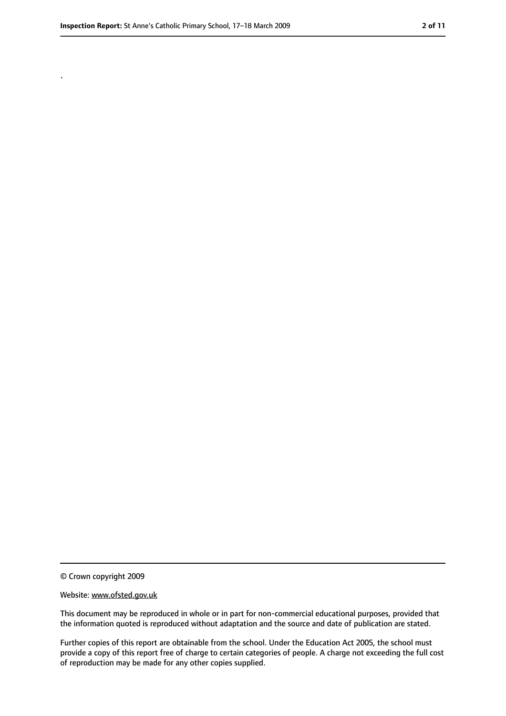.

<sup>©</sup> Crown copyright 2009

Website: www.ofsted.gov.uk

This document may be reproduced in whole or in part for non-commercial educational purposes, provided that the information quoted is reproduced without adaptation and the source and date of publication are stated.

Further copies of this report are obtainable from the school. Under the Education Act 2005, the school must provide a copy of this report free of charge to certain categories of people. A charge not exceeding the full cost of reproduction may be made for any other copies supplied.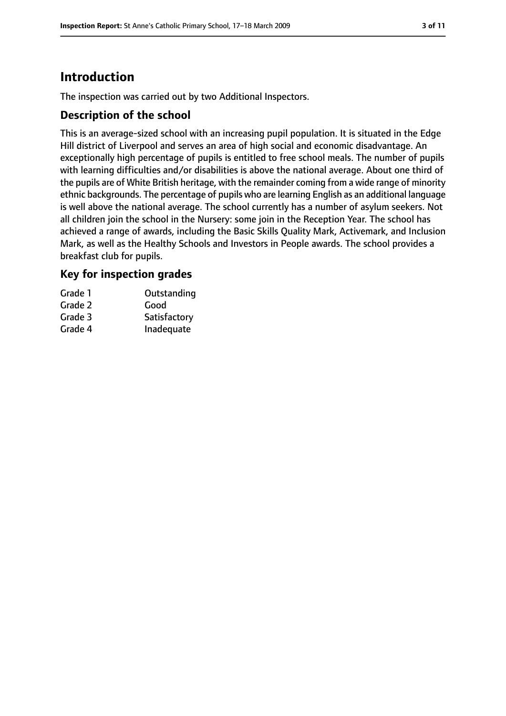# **Introduction**

The inspection was carried out by two Additional Inspectors.

## **Description of the school**

This is an average-sized school with an increasing pupil population. It is situated in the Edge Hill district of Liverpool and serves an area of high social and economic disadvantage. An exceptionally high percentage of pupils is entitled to free school meals. The number of pupils with learning difficulties and/or disabilities is above the national average. About one third of the pupils are of White British heritage, with the remainder coming from a wide range of minority ethnic backgrounds. The percentage of pupils who are learning English as an additional language is well above the national average. The school currently has a number of asylum seekers. Not all children join the school in the Nursery: some join in the Reception Year. The school has achieved a range of awards, including the Basic Skills Quality Mark, Activemark, and Inclusion Mark, as well as the Healthy Schools and Investors in People awards. The school provides a breakfast club for pupils.

## **Key for inspection grades**

| Grade 1 | Outstanding  |
|---------|--------------|
| Grade 2 | Good         |
| Grade 3 | Satisfactory |
| Grade 4 | Inadequate   |
|         |              |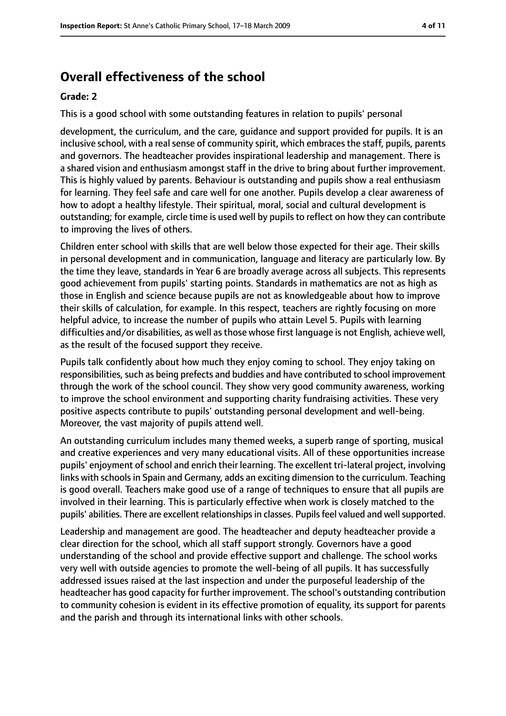# **Overall effectiveness of the school**

#### **Grade: 2**

This is a good school with some outstanding features in relation to pupils' personal

development, the curriculum, and the care, guidance and support provided for pupils. It is an inclusive school, with a real sense of community spirit, which embraces the staff, pupils, parents and governors. The headteacher provides inspirational leadership and management. There is a shared vision and enthusiasm amongst staff in the drive to bring about further improvement. This is highly valued by parents. Behaviour is outstanding and pupils show a real enthusiasm for learning. They feel safe and care well for one another. Pupils develop a clear awareness of how to adopt a healthy lifestyle. Their spiritual, moral, social and cultural development is outstanding; for example, circle time is used well by pupils to reflect on how they can contribute to improving the lives of others.

Children enter school with skills that are well below those expected for their age. Their skills in personal development and in communication, language and literacy are particularly low. By the time they leave, standards in Year 6 are broadly average across all subjects. This represents good achievement from pupils' starting points. Standards in mathematics are not as high as those in English and science because pupils are not as knowledgeable about how to improve their skills of calculation, for example. In this respect, teachers are rightly focusing on more helpful advice, to increase the number of pupils who attain Level 5. Pupils with learning difficulties and/or disabilities, as well as those whose first language is not English, achieve well, as the result of the focused support they receive.

Pupils talk confidently about how much they enjoy coming to school. They enjoy taking on responsibilities, such as being prefects and buddies and have contributed to school improvement through the work of the school council. They show very good community awareness, working to improve the school environment and supporting charity fundraising activities. These very positive aspects contribute to pupils' outstanding personal development and well-being. Moreover, the vast majority of pupils attend well.

An outstanding curriculum includes many themed weeks, a superb range of sporting, musical and creative experiences and very many educational visits. All of these opportunities increase pupils' enjoyment of school and enrich their learning. The excellent tri-lateral project, involving links with schools in Spain and Germany, adds an exciting dimension to the curriculum. Teaching is good overall. Teachers make good use of a range of techniques to ensure that all pupils are involved in their learning. This is particularly effective when work is closely matched to the pupils' abilities. There are excellent relationships in classes. Pupils feel valued and well supported.

Leadership and management are good. The headteacher and deputy headteacher provide a clear direction for the school, which all staff support strongly. Governors have a good understanding of the school and provide effective support and challenge. The school works very well with outside agencies to promote the well-being of all pupils. It has successfully addressed issues raised at the last inspection and under the purposeful leadership of the headteacher has good capacity for further improvement. The school's outstanding contribution to community cohesion is evident in its effective promotion of equality, its support for parents and the parish and through its international links with other schools.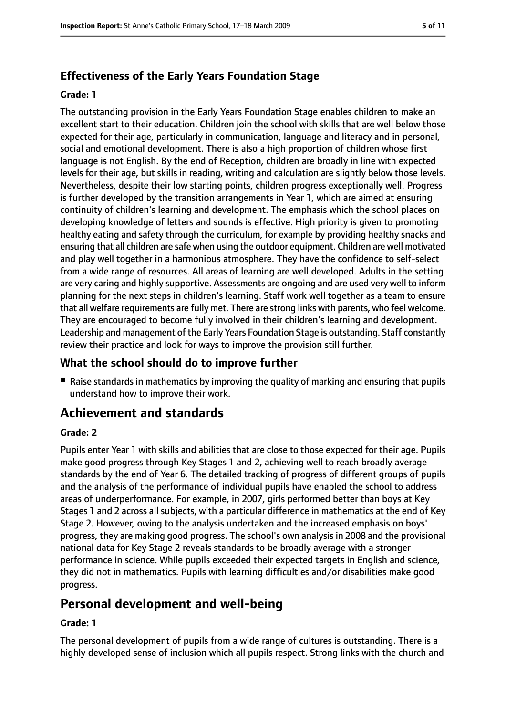# **Effectiveness of the Early Years Foundation Stage**

#### **Grade: 1**

The outstanding provision in the Early Years Foundation Stage enables children to make an excellent start to their education. Children join the school with skills that are well below those expected for their age, particularly in communication, language and literacy and in personal, social and emotional development. There is also a high proportion of children whose first language is not English. By the end of Reception, children are broadly in line with expected levels for their age, but skills in reading, writing and calculation are slightly below those levels. Nevertheless, despite their low starting points, children progress exceptionally well. Progress is further developed by the transition arrangements in Year 1, which are aimed at ensuring continuity of children's learning and development. The emphasis which the school places on developing knowledge of letters and sounds is effective. High priority is given to promoting healthy eating and safety through the curriculum, for example by providing healthy snacks and ensuring that all children are safe when using the outdoor equipment. Children are well motivated and play well together in a harmonious atmosphere. They have the confidence to self-select from a wide range of resources. All areas of learning are well developed. Adults in the setting are very caring and highly supportive. Assessments are ongoing and are used very well to inform planning for the next steps in children's learning. Staff work well together as a team to ensure that all welfare requirements are fully met. There are strong links with parents, who feel welcome. They are encouraged to become fully involved in their children's learning and development. Leadership and management of the Early Years Foundation Stage is outstanding. Staff constantly review their practice and look for ways to improve the provision still further.

# **What the school should do to improve further**

■ Raise standards in mathematics by improving the quality of marking and ensuring that pupils understand how to improve their work.

# **Achievement and standards**

#### **Grade: 2**

Pupils enter Year 1 with skills and abilities that are close to those expected for their age. Pupils make good progress through Key Stages 1 and 2, achieving well to reach broadly average standards by the end of Year 6. The detailed tracking of progress of different groups of pupils and the analysis of the performance of individual pupils have enabled the school to address areas of underperformance. For example, in 2007, girls performed better than boys at Key Stages 1 and 2 across all subjects, with a particular difference in mathematics at the end of Key Stage 2. However, owing to the analysis undertaken and the increased emphasis on boys' progress, they are making good progress. The school's own analysis in 2008 and the provisional national data for Key Stage 2 reveals standards to be broadly average with a stronger performance in science. While pupils exceeded their expected targets in English and science, they did not in mathematics. Pupils with learning difficulties and/or disabilities make good progress.

# **Personal development and well-being**

#### **Grade: 1**

The personal development of pupils from a wide range of cultures is outstanding. There is a highly developed sense of inclusion which all pupils respect. Strong links with the church and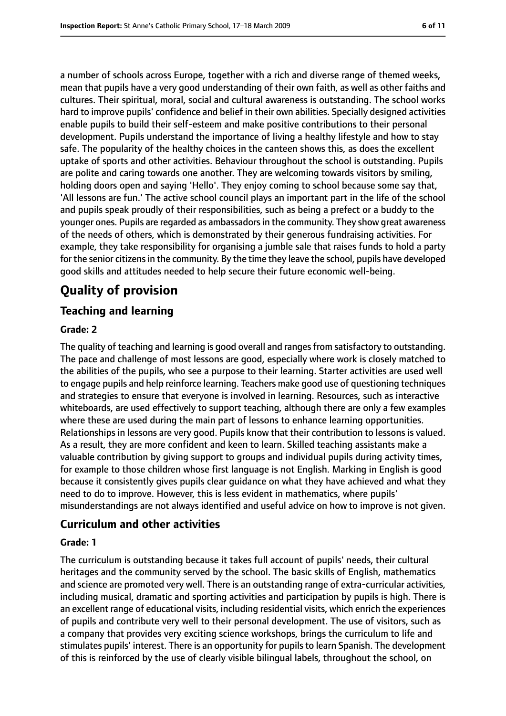a number of schools across Europe, together with a rich and diverse range of themed weeks, mean that pupils have a very good understanding of their own faith, as well as other faiths and cultures. Their spiritual, moral, social and cultural awareness is outstanding. The school works hard to improve pupils' confidence and belief in their own abilities. Specially designed activities enable pupils to build their self-esteem and make positive contributions to their personal development. Pupils understand the importance of living a healthy lifestyle and how to stay safe. The popularity of the healthy choices in the canteen shows this, as does the excellent uptake of sports and other activities. Behaviour throughout the school is outstanding. Pupils are polite and caring towards one another. They are welcoming towards visitors by smiling, holding doors open and saying 'Hello'. They enjoy coming to school because some say that, 'All lessons are fun.' The active school council plays an important part in the life of the school and pupils speak proudly of their responsibilities, such as being a prefect or a buddy to the younger ones. Pupils are regarded as ambassadorsin the community. They show great awareness of the needs of others, which is demonstrated by their generous fundraising activities. For example, they take responsibility for organising a jumble sale that raises funds to hold a party for the senior citizens in the community. By the time they leave the school, pupils have developed good skills and attitudes needed to help secure their future economic well-being.

# **Quality of provision**

# **Teaching and learning**

#### **Grade: 2**

The quality of teaching and learning is good overall and ranges from satisfactory to outstanding. The pace and challenge of most lessons are good, especially where work is closely matched to the abilities of the pupils, who see a purpose to their learning. Starter activities are used well to engage pupils and help reinforce learning. Teachers make good use of questioning techniques and strategies to ensure that everyone is involved in learning. Resources, such as interactive whiteboards, are used effectively to support teaching, although there are only a few examples where these are used during the main part of lessons to enhance learning opportunities. Relationships in lessons are very good. Pupils know that their contribution to lessons is valued. As a result, they are more confident and keen to learn. Skilled teaching assistants make a valuable contribution by giving support to groups and individual pupils during activity times, for example to those children whose first language is not English. Marking in English is good because it consistently gives pupils clear guidance on what they have achieved and what they need to do to improve. However, this is less evident in mathematics, where pupils' misunderstandings are not always identified and useful advice on how to improve is not given.

# **Curriculum and other activities**

#### **Grade: 1**

The curriculum is outstanding because it takes full account of pupils' needs, their cultural heritages and the community served by the school. The basic skills of English, mathematics and science are promoted very well. There is an outstanding range of extra-curricular activities, including musical, dramatic and sporting activities and participation by pupils is high. There is an excellent range of educational visits, including residential visits, which enrich the experiences of pupils and contribute very well to their personal development. The use of visitors, such as a company that provides very exciting science workshops, brings the curriculum to life and stimulates pupils' interest. There is an opportunity for pupils to learn Spanish. The development of this is reinforced by the use of clearly visible bilingual labels, throughout the school, on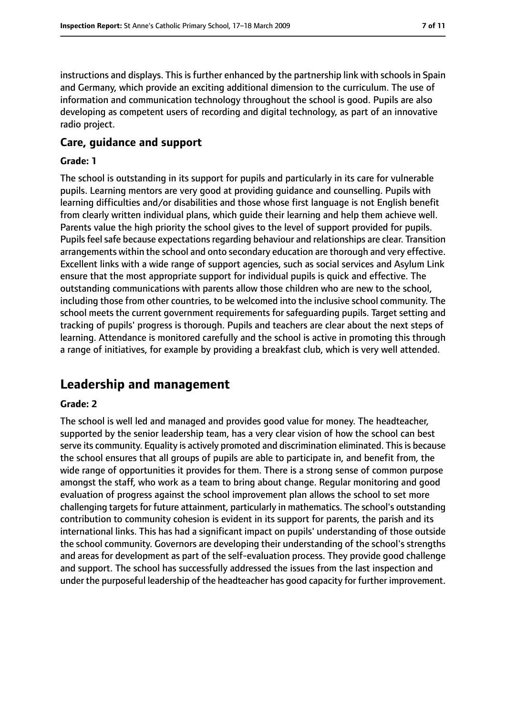instructions and displays. This is further enhanced by the partnership link with schools in Spain and Germany, which provide an exciting additional dimension to the curriculum. The use of information and communication technology throughout the school is good. Pupils are also developing as competent users of recording and digital technology, as part of an innovative radio project.

#### **Care, guidance and support**

#### **Grade: 1**

The school is outstanding in its support for pupils and particularly in its care for vulnerable pupils. Learning mentors are very good at providing guidance and counselling. Pupils with learning difficulties and/or disabilities and those whose first language is not English benefit from clearly written individual plans, which guide their learning and help them achieve well. Parents value the high priority the school gives to the level of support provided for pupils. Pupils feel safe because expectations regarding behaviour and relationships are clear. Transition arrangements within the school and onto secondary education are thorough and very effective. Excellent links with a wide range of support agencies, such as social services and Asylum Link ensure that the most appropriate support for individual pupils is quick and effective. The outstanding communications with parents allow those children who are new to the school, including those from other countries, to be welcomed into the inclusive school community. The school meets the current government requirements for safeguarding pupils. Target setting and tracking of pupils' progress is thorough. Pupils and teachers are clear about the next steps of learning. Attendance is monitored carefully and the school is active in promoting this through a range of initiatives, for example by providing a breakfast club, which is very well attended.

# **Leadership and management**

#### **Grade: 2**

The school is well led and managed and provides good value for money. The headteacher, supported by the senior leadership team, has a very clear vision of how the school can best serve its community. Equality is actively promoted and discrimination eliminated. Thisis because the school ensures that all groups of pupils are able to participate in, and benefit from, the wide range of opportunities it provides for them. There is a strong sense of common purpose amongst the staff, who work as a team to bring about change. Regular monitoring and good evaluation of progress against the school improvement plan allows the school to set more challenging targets for future attainment, particularly in mathematics. The school's outstanding contribution to community cohesion is evident in its support for parents, the parish and its international links. This has had a significant impact on pupils' understanding of those outside the school community. Governors are developing their understanding of the school's strengths and areas for development as part of the self-evaluation process. They provide good challenge and support. The school has successfully addressed the issues from the last inspection and under the purposeful leadership of the headteacher has good capacity for further improvement.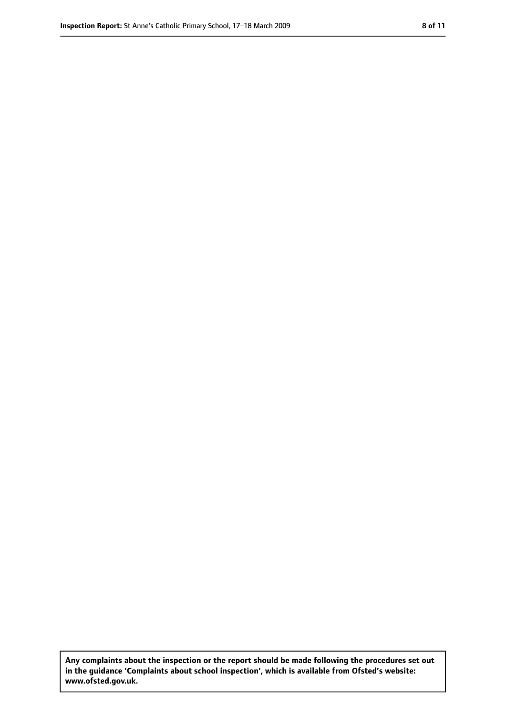**Any complaints about the inspection or the report should be made following the procedures set out in the guidance 'Complaints about school inspection', which is available from Ofsted's website: www.ofsted.gov.uk.**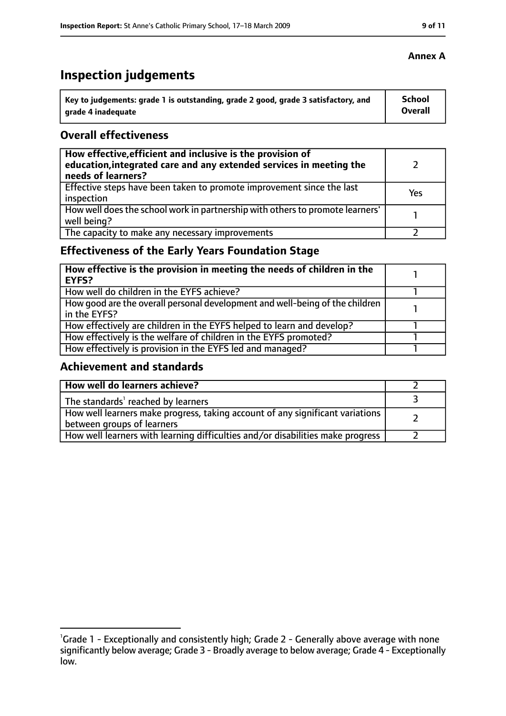# **Inspection judgements**

| Key to judgements: grade 1 is outstanding, grade 2 good, grade 3 satisfactory, and | School  |
|------------------------------------------------------------------------------------|---------|
| arade 4 inadequate                                                                 | Overall |

### **Overall effectiveness**

| How effective, efficient and inclusive is the provision of<br>education, integrated care and any extended services in meeting the<br>needs of learners? |     |
|---------------------------------------------------------------------------------------------------------------------------------------------------------|-----|
| Effective steps have been taken to promote improvement since the last<br>inspection                                                                     | Yes |
| How well does the school work in partnership with others to promote learners'<br>well being?                                                            |     |
| The capacity to make any necessary improvements                                                                                                         |     |

# **Effectiveness of the Early Years Foundation Stage**

| How effective is the provision in meeting the needs of children in the<br>EYFS?              |  |
|----------------------------------------------------------------------------------------------|--|
| How well do children in the EYFS achieve?                                                    |  |
| How good are the overall personal development and well-being of the children<br>in the EYFS? |  |
| How effectively are children in the EYFS helped to learn and develop?                        |  |
| How effectively is the welfare of children in the EYFS promoted?                             |  |
| How effectively is provision in the EYFS led and managed?                                    |  |

# **Achievement and standards**

| How well do learners achieve?                                                                               |  |
|-------------------------------------------------------------------------------------------------------------|--|
| The standards <sup>1</sup> reached by learners                                                              |  |
| How well learners make progress, taking account of any significant variations<br>between groups of learners |  |
| How well learners with learning difficulties and/or disabilities make progress                              |  |

#### **Annex A**

<sup>&</sup>lt;sup>1</sup>Grade 1 - Exceptionally and consistently high; Grade 2 - Generally above average with none significantly below average; Grade 3 - Broadly average to below average; Grade 4 - Exceptionally low.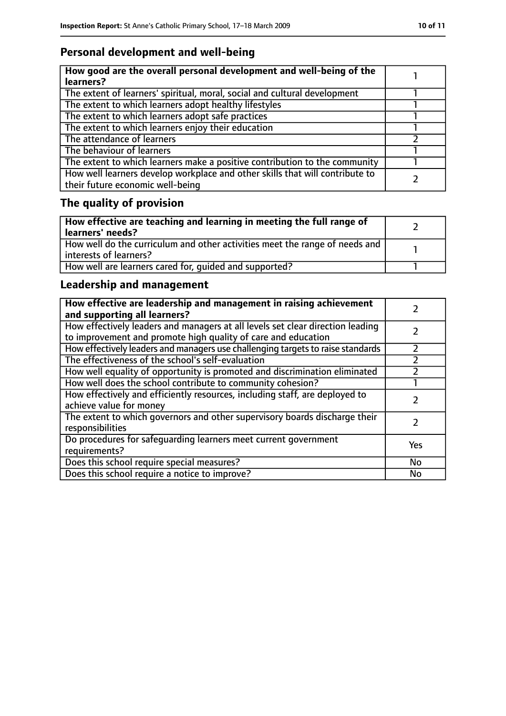# **Personal development and well-being**

| How good are the overall personal development and well-being of the<br>learners?                                 |  |
|------------------------------------------------------------------------------------------------------------------|--|
| The extent of learners' spiritual, moral, social and cultural development                                        |  |
| The extent to which learners adopt healthy lifestyles                                                            |  |
| The extent to which learners adopt safe practices                                                                |  |
| The extent to which learners enjoy their education                                                               |  |
| The attendance of learners                                                                                       |  |
| The behaviour of learners                                                                                        |  |
| The extent to which learners make a positive contribution to the community                                       |  |
| How well learners develop workplace and other skills that will contribute to<br>their future economic well-being |  |

# **The quality of provision**

| How effective are teaching and learning in meeting the full range of<br>learners' needs?              |  |
|-------------------------------------------------------------------------------------------------------|--|
| How well do the curriculum and other activities meet the range of needs and<br>interests of learners? |  |
| How well are learners cared for, quided and supported?                                                |  |

# **Leadership and management**

| How effective are leadership and management in raising achievement<br>and supporting all learners?                                              |     |
|-------------------------------------------------------------------------------------------------------------------------------------------------|-----|
| How effectively leaders and managers at all levels set clear direction leading<br>to improvement and promote high quality of care and education |     |
| How effectively leaders and managers use challenging targets to raise standards                                                                 |     |
| The effectiveness of the school's self-evaluation                                                                                               |     |
| How well equality of opportunity is promoted and discrimination eliminated                                                                      |     |
| How well does the school contribute to community cohesion?                                                                                      |     |
| How effectively and efficiently resources, including staff, are deployed to<br>achieve value for money                                          |     |
| The extent to which governors and other supervisory boards discharge their<br>responsibilities                                                  |     |
| Do procedures for safeguarding learners meet current government<br>requirements?                                                                | Yes |
| Does this school require special measures?                                                                                                      | No  |
| Does this school require a notice to improve?                                                                                                   | No  |